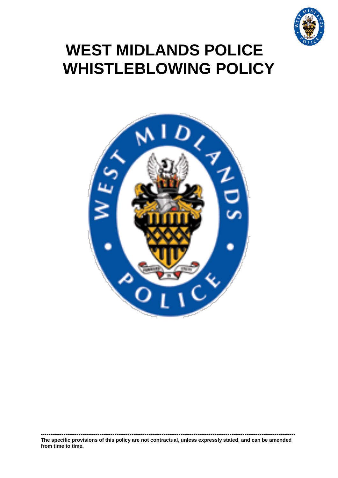

# <span id="page-0-0"></span>**WEST MIDLANDS POLICE WHISTLEBLOWING POLICY**

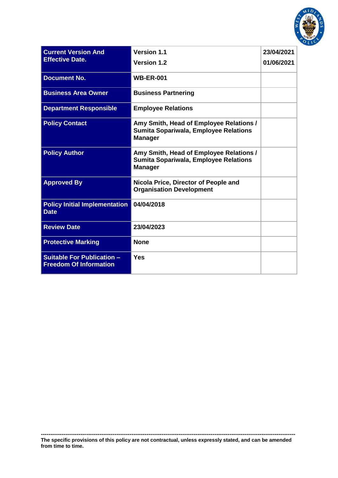

| <b>Current Version And</b><br><b>Effective Date.</b>               | <b>Version 1.1</b>                                                                                        | 23/04/2021 |
|--------------------------------------------------------------------|-----------------------------------------------------------------------------------------------------------|------------|
|                                                                    | <b>Version 1.2</b>                                                                                        | 01/06/2021 |
| <b>Document No.</b>                                                | <b>WB-ER-001</b>                                                                                          |            |
| <b>Business Area Owner</b>                                         | <b>Business Partnering</b>                                                                                |            |
| <b>Department Responsible</b>                                      | <b>Employee Relations</b>                                                                                 |            |
| <b>Policy Contact</b>                                              | Amy Smith, Head of Employee Relations /<br><b>Sumita Sopariwala, Employee Relations</b><br><b>Manager</b> |            |
| <b>Policy Author</b>                                               | Amy Smith, Head of Employee Relations /<br><b>Sumita Sopariwala, Employee Relations</b><br><b>Manager</b> |            |
| <b>Approved By</b>                                                 | Nicola Price, Director of People and<br><b>Organisation Development</b>                                   |            |
| <b>Policy Initial Implementation</b><br><b>Date</b>                | 04/04/2018                                                                                                |            |
| <b>Review Date</b>                                                 | 23/04/2023                                                                                                |            |
| <b>Protective Marking</b>                                          | <b>None</b>                                                                                               |            |
| <b>Suitable For Publication -</b><br><b>Freedom Of Information</b> | <b>Yes</b>                                                                                                |            |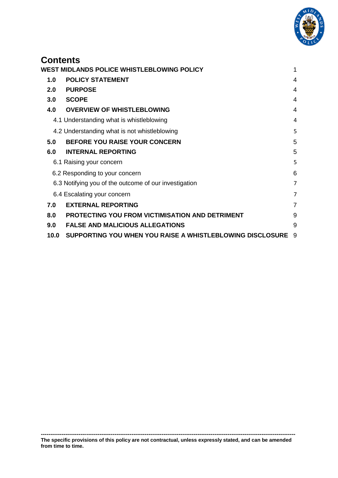

# **Contents**

|     | WEST MIDLANDS POLICE WHISTLEBLOWING POLICY |                                                           | 1                |
|-----|--------------------------------------------|-----------------------------------------------------------|------------------|
|     | 1.0                                        | <b>POLICY STATEMENT</b>                                   | $\overline{4}$   |
| 2.0 |                                            | <b>PURPOSE</b>                                            | $\boldsymbol{4}$ |
| 3.0 |                                            | <b>SCOPE</b>                                              | 4                |
|     | 4.0                                        | <b>OVERVIEW OF WHISTLEBLOWING</b>                         | $\overline{4}$   |
|     |                                            | 4.1 Understanding what is whistleblowing                  | 4                |
|     |                                            | 4.2 Understanding what is not whistleblowing              | 5                |
| 5.0 |                                            | <b>BEFORE YOU RAISE YOUR CONCERN</b>                      | 5                |
|     | 6.0                                        | <b>INTERNAL REPORTING</b>                                 | 5                |
|     |                                            | 6.1 Raising your concern                                  | 5                |
|     |                                            | 6.2 Responding to your concern                            | 6                |
|     |                                            | 6.3 Notifying you of the outcome of our investigation     | $\overline{7}$   |
|     |                                            | 6.4 Escalating your concern                               | 7                |
| 7.0 |                                            | <b>EXTERNAL REPORTING</b>                                 | $\overline{7}$   |
| 8.0 |                                            | <b>PROTECTING YOU FROM VICTIMISATION AND DETRIMENT</b>    | 9                |
| 9.0 |                                            | <b>FALSE AND MALICIOUS ALLEGATIONS</b>                    | 9                |
|     | 10.0                                       | SUPPORTING YOU WHEN YOU RAISE A WHISTLEBLOWING DISCLOSURE | -9               |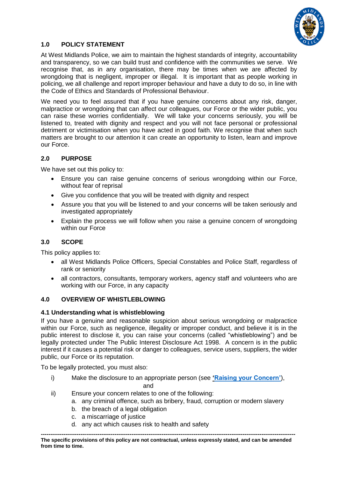

# <span id="page-3-0"></span>**1.0 POLICY STATEMENT**

At West Midlands Police, we aim to maintain the highest standards of integrity, accountability and transparency, so we can build trust and confidence with the communities we serve. We recognise that, as in any organisation, there may be times when we are affected by wrongdoing that is negligent, improper or illegal. It is important that as people working in policing, we all challenge and report improper behaviour and have a duty to do so, in line with the Code of Ethics and Standards of Professional Behaviour.

We need you to feel assured that if you have genuine concerns about any risk, danger, malpractice or wrongdoing that can affect our colleagues, our Force or the wider public, you can raise these worries confidentially. We will take your concerns seriously, you will be listened to, treated with dignity and respect and you will not face personal or professional detriment or victimisation when you have acted in good faith. We recognise that when such matters are brought to our attention it can create an opportunity to listen, learn and improve our Force.

# <span id="page-3-1"></span>**2.0 PURPOSE**

We have set out this policy to:

- Ensure you can raise genuine concerns of serious wrongdoing within our Force, without fear of reprisal
- Give you confidence that you will be treated with dignity and respect
- Assure you that you will be listened to and your concerns will be taken seriously and investigated appropriately
- Explain the process we will follow when you raise a genuine concern of wrongdoing within our Force

# <span id="page-3-2"></span>**3.0 SCOPE**

This policy applies to:

- all West Midlands Police Officers, Special Constables and Police Staff, regardless of rank or seniority
- all contractors, consultants, temporary workers, agency staff and volunteers who are working with our Force, in any capacity

#### <span id="page-3-3"></span>**4.0 OVERVIEW OF WHISTLEBLOWING**

#### <span id="page-3-4"></span>**4.1 Understanding what is whistleblowing**

If you have a genuine and reasonable suspicion about serious wrongdoing or malpractice within our Force, such as negligence, illegality or improper conduct, and believe it is in the public interest to disclose it, you can raise your concerns (called "whistleblowing") and be legally protected under The Public Interest Disclosure Act 1998. A concern is in the public interest if it causes a potential risk or danger to colleagues, service users, suppliers, the wider public, our Force or its reputation.

To be legally protected, you must also:

- i) Make the disclosure to an appropriate person (see **['Raising your Concern'](#page-4-3)**), and
- ii) Ensure your concern relates to one of the following:
	- a. any criminal offence, such as bribery, fraud, corruption or modern slavery
	- b. the breach of a legal obligation
	- c. a miscarriage of justice
	- d. any act which causes risk to health and safety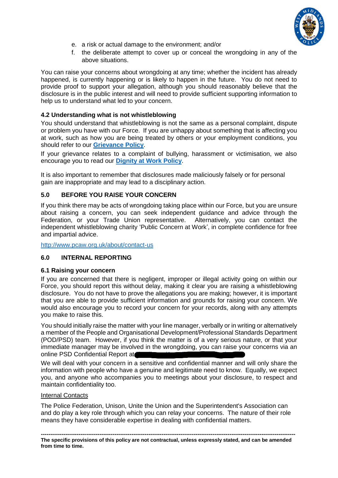

- e. a risk or actual damage to the environment; and/or
- f. the deliberate attempt to cover up or conceal the wrongdoing in any of the above situations.

You can raise your concerns about wrongdoing at any time; whether the incident has already happened, is currently happening or is likely to happen in the future. You do not need to provide proof to support your allegation, although you should reasonably believe that the disclosure is in the public interest and will need to provide sufficient supporting information to help us to understand what led to your concern.

## <span id="page-4-0"></span>**4.2 Understanding what is not whistleblowing**

You should understand that whistleblowing is not the same as a personal complaint, dispute or problem you have with our Force. If you are unhappy about something that is affecting you at work, such as how you are being treated by others or your employment conditions, you should refer to our **[Grievance](https://es-one-stop-shop.custhelp.com/app/hubs/policy) Policy**.

If your grievance relates to a complaint of bullying, harassment or victimisation, we also encourage you to read our **[Dignity at Work Policy](https://es-one-stop-shop.custhelp.com/app/hubs/policy)**.

It is also important to remember that disclosures made maliciously falsely or for personal gain are inappropriate and may lead to a disciplinary action.

## <span id="page-4-1"></span>**5.0 BEFORE YOU RAISE YOUR CONCERN**

If you think there may be acts of wrongdoing taking place within our Force, but you are unsure about raising a concern, you can seek independent guidance and advice through the Federation, or your Trade Union representative. Alternatively, you can contact the independent whistleblowing charity 'Public Concern at Work', in complete confidence for free and impartial advice.

<http://www.pcaw.org.uk/about/contact-us>

# <span id="page-4-2"></span>**6.0 INTERNAL REPORTING**

#### <span id="page-4-3"></span>**6.1 Raising your concern**

If you are concerned that there is negligent, improper or illegal activity going on within our Force, you should report this without delay, making it clear you are raising a whistleblowing disclosure. You do not have to prove the allegations you are making; however, it is important that you are able to provide sufficient information and grounds for raising your concern. We would also encourage you to record your concern for your records, along with any attempts you make to raise this.

You should initially raise the matter with your line manager, verbally or in writing or alternatively a member of the People and Organisational Development/Professional Standards Department (POD/PSD) team. However, if you think the matter is of a very serious nature, or that your immediate manager may be involved in the wrongdoing, you can raise your concerns via an online PSD Confidential Report at

We will deal with your concern in a sensitive and confidential manner and will only share the information with people who have a genuine and legitimate need to know. Equally, we expect you, and anyone who accompanies you to meetings about your disclosure, to respect and maintain confidentiality too.

#### Internal Contacts

The Police Federation, Unison, Unite the Union and the Superintendent's Association can and do play a key role through which you can relay your concerns. The nature of their role means they have considerable expertise in dealing with confidential matters.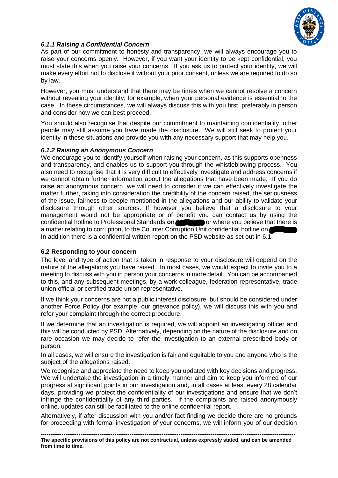

# *6.1.1 Raising a Confidential Concern*

As part of our commitment to honesty and transparency, we will always encourage you to raise your concerns openly. However, if you want your identity to be kept confidential, you must state this when you raise your concerns. If you ask us to protect your identity, we will make every effort not to disclose it without your prior consent, unless we are required to do so by law.

However, you must understand that there may be times when we cannot resolve a concern without revealing your identity; for example, when your personal evidence is essential to the case. In these circumstances, we will always discuss this with you first, preferably in person and consider how we can best proceed.

You should also recognise that despite our commitment to maintaining confidentiality, other people may still assume you have made the disclosure. We will still seek to protect your identity in these situations and provide you with any necessary support that may help you.

#### *6.1.2 Raising an Anonymous Concern*

We encourage you to identify yourself when raising your concern, as this supports openness and transparency, and enables us to support you through the whistleblowing process. You also need to recognise that it is very difficult to effectively investigate and address concerns if we cannot obtain further information about the allegations that have been made. If you do raise an anonymous concern, we will need to consider if we can effectively investigate the matter further, taking into consideration the credibility of the concern raised, the seriousness of the issue, fairness to people mentioned in the allegations and our ability to validate your disclosure through other sources. If however you believe that a disclosure to your management would not be appropriate or of benefit you can contact us by using the confidential hotline to Professional Standards **on 800 1511 Theory on** or where you believe that there is a matter relating to corruption, to the Counter Corruption Unit confidential hotline on In addition there is a confidential written report on the PSD website as set out in 6.1.

# <span id="page-5-0"></span>**6.2 Responding to your concern**

The level and type of action that is taken in response to your disclosure will depend on the nature of the allegations you have raised. In most cases, we would expect to invite you to a meeting to discuss with you in person your concerns in more detail. You can be accompanied to this, and any subsequent meetings, by a work colleague, federation representative, trade union official or certified trade union representative.

If we think your concerns are not a public interest disclosure, but should be considered under another Force Policy (for example: our grievance policy), we will discuss this with you and refer your complaint through the correct procedure.

If we determine that an investigation is required, we will appoint an investigating officer and this will be conducted by PSD. Alternatively, depending on the nature of the disclosure and on rare occasion we may decide to refer the investigation to an external prescribed body or person.

In all cases, we will ensure the investigation is fair and equitable to you and anyone who is the subject of the allegations raised.

We recognise and appreciate the need to keep you updated with key decisions and progress. We will undertake the investigation in a timely manner and aim to keep you informed of our progress at significant points in our investigation and, in all cases at least every 28 calendar days, providing we protect the confidentiality of our investigations and ensure that we don't infringe the confidentiality of any third parties. If the complaints are raised anonymously online, updates can still be facilitated to the online confidential report.

Alternatively, if after discussion with you and/or fact finding we decide there are no grounds for proceeding with formal investigation of your concerns, we will inform you of our decision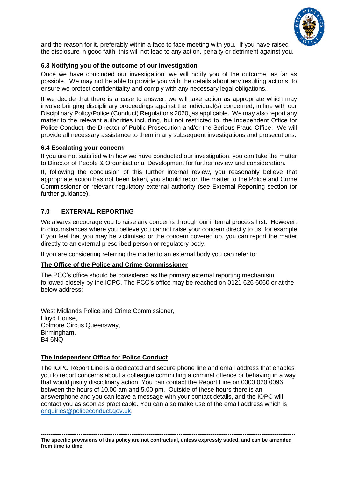

and the reason for it, preferably within a face to face meeting with you. If you have raised the disclosure in good faith, this will not lead to any action, penalty or detriment against you.

## <span id="page-6-0"></span>**6.3 Notifying you of the outcome of our investigation**

Once we have concluded our investigation, we will notify you of the outcome, as far as possible. We may not be able to provide you with the details about any resulting actions, to ensure we protect confidentiality and comply with any necessary legal obligations.

If we decide that there is a case to answer, we will take action as appropriate which may involve bringing disciplinary proceedings against the individual(s) concerned, in line with our Disciplinary Policy/Police (Conduct) Regulations 2020, as applicable. We may also report any matter to the relevant authorities including, but not restricted to, the Independent Office for Police Conduct, the Director of Public Prosecution and/or the Serious Fraud Office. We will provide all necessary assistance to them in any subsequent investigations and prosecutions.

## <span id="page-6-1"></span>**6.4 Escalating your concern**

If you are not satisfied with how we have conducted our investigation, you can take the matter to Director of People & Organisational Development for further review and consideration.

If, following the conclusion of this further internal review, you reasonably believe that appropriate action has not been taken, you should report the matter to the Police and Crime Commissioner or relevant regulatory external authority (see External Reporting section for further guidance).

## <span id="page-6-2"></span>**7.0 EXTERNAL REPORTING**

We always encourage you to raise any concerns through our internal process first. However, in circumstances where you believe you cannot raise your concern directly to us, for example if you feel that you may be victimised or the concern covered up, you can report the matter directly to an external prescribed person or regulatory body.

If you are considering referring the matter to an external body you can refer to:

#### **The Office of the Police and Crime Commissioner**

The PCC's office should be considered as the primary external reporting mechanism, followed closely by the IOPC. The PCC's office may be reached on 0121 626 6060 or at the below address:

West Midlands Police and Crime Commissioner, Lloyd House, Colmore Circus Queensway, Birmingham, B4 6NQ

# **The Independent Office for Police Conduct**

The IOPC Report Line is a dedicated and secure phone line and email address that enables you to report concerns about a colleague committing a criminal offence or behaving in a way that would justify disciplinary action. You can contact the Report Line on 0300 020 0096 between the hours of 10.00 am and 5.00 pm. Outside of these hours there is an answerphone and you can leave a message with [your contact details, and the IOPC will](mailto:your%20contact%20details,%20and%20the%20IOPC%20will%20contact%20you%20as%20soon%20as%20practicable.%20You%20can)  [contact you as soon as practicable. You can a](mailto:your%20contact%20details,%20and%20the%20IOPC%20will%20contact%20you%20as%20soon%20as%20practicable.%20You%20can)lso make use of the email address which is [enquiries@policeconduct.gov.uk.](mailto:enquiries@policeconduct.gov.uk)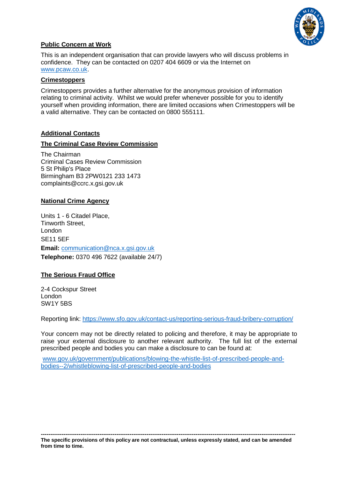

# **Public Concern at Work**

This is an independent organisation that can provide lawyers who will discuss problems in confidence. They can be contacted on 0207 404 6609 or via the Internet on [www.pcaw.co.uk.](http://www.pcaw.co.uk/)

#### **[Crimestoppers](http://www.crimestoppers-uk.org/)**

Crimestoppers provides a further alternative for the anonymous provision of information relating to criminal activity. Whilst we would prefer whenever possible for you to identify yourself when providing information, there are limited occasions when Crimestoppers will be a valid alternative. They can be contacted on 0800 555111.

# **Additional Contacts**

## **The Criminal Case Review Commission**

The Chairman Criminal Cases Review Commission 5 St Philip's Place Birmingham B3 2PW0121 233 1473 complaints@ccrc.x.gsi.gov.uk

# **National Crime Agency**

Units 1 - 6 Citadel Place, Tinworth Street, London SE11 5EF **Email:** [communication@nca.x.gsi.gov.uk](mailto:communication@nca.x.gsi.gov.uk) **Telephone:** 0370 496 7622 (available 24/7)

#### **The Serious Fraud Office**

2-4 Cockspur Street London SW1Y 5BS

Reporting link:<https://www.sfo.gov.uk/contact-us/reporting-serious-fraud-bribery-corruption/>

Your concern may not be directly related to policing and therefore, it may be appropriate to raise your external disclosure to another relevant authority. The full list of the external prescribed people and bodies you can make a disclosure to can be found at:

[www.gov.uk/government/publications/blowing-the-whistle-list-of-prescribed-people-and](http://www.gov.uk/government/publications/blowing-the-whistle-list-of-prescribed-people-and-bodies--2/whistleblowing-list-of-prescribed-people-and-bodies)[bodies--2/whistleblowing-list-of-prescribed-people-and-bodies](http://www.gov.uk/government/publications/blowing-the-whistle-list-of-prescribed-people-and-bodies--2/whistleblowing-list-of-prescribed-people-and-bodies)